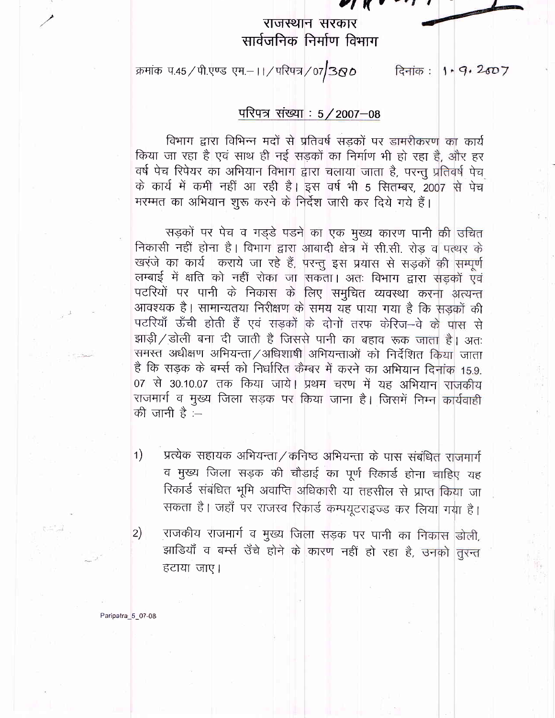राजस्थान सरकार सार्वजनिक निर्माण विभाग

क्रमांक प.45 / पी.एण्ड एम.-11 / परिपत्र / 07 380

दिनांक :  $1.9.2007$ 

## परिपत्र संख्या : 5/2007-08

विभाग द्वारा विभिन्न मदों से प्रतिवर्ष सड़कों पर डामरीकरण का कार्य किया जा रहा है एवं साथ ही नई सड़कों का निर्माण भी हो रहा है, और हर वर्ष पेच रिपेयर का अभियान विभाग द्वारा चलाया जाता है, परन्तु प्रतिवर्ष पेच के कार्य में कमी नहीं आ रही है। इस वर्ष भी 5 सितम्बर, 2007 से पेच मरम्मत का अभियान शुरू करने के निर्देश जारी कर दिये गये हैं।

सड़कों पर पेच व गड्डे पडने का एक मुख्य कारण पानी की उचित निकासी नहीं होना है। विभाग द्वारा आबादी क्षेत्र में सी.सी. रोड़ व पत्थर के खरंजे का कार्य कराये जा रहे हैं, परन्तु इस प्रयास से सड़कों की सम्पूर्ण लम्बाई में क्षति को नहीं रोका जा सकता। अतः विभाग द्वारा सड़कों एवं पटरियों पर पानी के निकास के लिए समुचित व्यवस्था करना अत्यन्त आवश्यक है। सामान्यतया निरीक्षण के समय यह पाया गया है कि सड़कों की पटरियाँ ऊँची होती हैं एवं सड़कों के दोनों तरफ केरिज-वे के पास से झाड़ी / डोली बना दी जाती है जिससे पानी का बहाव रूक जाता है। अतः समस्त अधीक्षण अभियन्ता / अधिशाषी अभियन्ताओं को निर्देशित किया जाता है कि सड़क के बर्म्स को निर्धारित कैम्बर में करने का अभियान दिनांक 15.9. 07 से 30.10.07 तक किया जाये। प्रथम चरण में यह अभियान राजकीय राजमार्ग व मुख्य जिला सड़क पर किया जाना है। जिसमें निम्न कार्यवाही की जानी है :–

प्रत्येक सहायक अभियन्ता / कनिष्ठ अभियन्ता के पास संबंधित राजमार्ग  $\left( \begin{matrix} 1 \end{matrix} \right)$ व मुख्य जिला सड़क की चौडाई का पूर्ण रिकार्ड होना चाहिए यह रिकार्ड संबंधित भूमि अवाप्ति अधिकारी या तहसील से प्राप्त किया जा सकता है। जहाँ पर राजस्व रिकार्ड कम्पयूटराइज्ड कर लिया गया है।

राजकीय राजमार्ग व मुख्य जिला सड़क पर पानी का निकास डोली,  $|2)$ झाडियाँ व बर्म्स उँचे होने के कारण नहीं हो रहा है, उनको तुरन्त हटाया जाए।

Paripatra\_5\_07-08